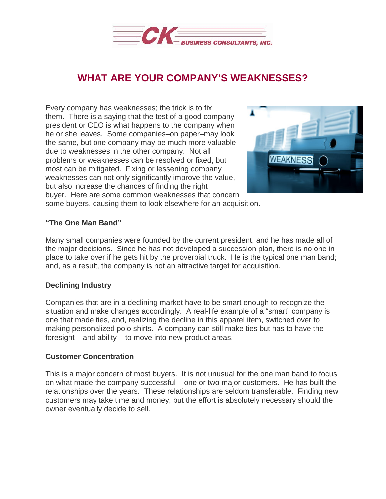

# **WHAT ARE YOUR COMPANY'S WEAKNESSES?**

Every company has weaknesses; the trick is to fix them. There is a saying that the test of a good company president or CEO is what happens to the company when he or she leaves. Some companies–on paper–may look the same, but one company may be much more valuable due to weaknesses in the other company. Not all problems or weaknesses can be resolved or fixed, but most can be mitigated. Fixing or lessening company weaknesses can not only significantly improve the value, but also increase the chances of finding the right buyer. Here are some common weaknesses that concern



some buyers, causing them to look elsewhere for an acquisition.

## **"The One Man Band"**

Many small companies were founded by the current president, and he has made all of the major decisions. Since he has not developed a succession plan, there is no one in place to take over if he gets hit by the proverbial truck. He is the typical one man band; and, as a result, the company is not an attractive target for acquisition.

## **Declining Industry**

Companies that are in a declining market have to be smart enough to recognize the situation and make changes accordingly. A real-life example of a "smart" company is one that made ties, and, realizing the decline in this apparel item, switched over to making personalized polo shirts. A company can still make ties but has to have the foresight – and ability – to move into new product areas.

## **Customer Concentration**

This is a major concern of most buyers. It is not unusual for the one man band to focus on what made the company successful – one or two major customers. He has built the relationships over the years. These relationships are seldom transferable. Finding new customers may take time and money, but the effort is absolutely necessary should the owner eventually decide to sell.